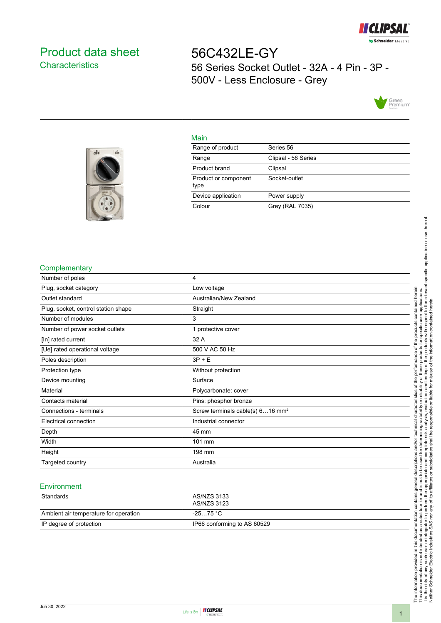

# <span id="page-0-0"></span>Product data sheet **Characteristics**

56C432LE-GY 56 Series Socket Outlet - 32A - 4 Pin - 3P - 500V - Less Enclosure - Grey



# Main

| Range of product             | Series 56           |
|------------------------------|---------------------|
| Range                        | Clipsal - 56 Series |
| Product brand                | Clipsal             |
| Product or component<br>type | Socket-outlet       |
| Device application           | Power supply        |
| Colour                       | Grey (RAL 7035)     |



 $o<sup>2</sup>F$ 

ON

### **Complementary**

| Number of poles                     | 4                                            |
|-------------------------------------|----------------------------------------------|
| Plug, socket category               | Low voltage                                  |
| Outlet standard                     | Australian/New Zealand                       |
| Plug, socket, control station shape | Straight                                     |
| Number of modules                   | 3                                            |
| Number of power socket outlets      | 1 protective cover                           |
| [In] rated current                  | 32 A                                         |
| [Ue] rated operational voltage      | 500 V AC 50 Hz                               |
| Poles description                   | $3P + E$                                     |
| Protection type                     | Without protection                           |
| Device mounting                     | Surface                                      |
| Material                            | Polycarbonate: cover                         |
| Contacts material                   | Pins: phosphor bronze                        |
| Connections - terminals             | Screw terminals cable(s) 616 mm <sup>2</sup> |
| Electrical connection               | Industrial connector                         |
| Depth                               | 45 mm                                        |
| Width                               | 101 mm                                       |
| Height                              | 198 mm                                       |
| Targeted country                    | Australia                                    |
|                                     |                                              |

#### **Environment**

| Standards                             | AS/NZS 3133<br>AS/NZS 3123  |
|---------------------------------------|-----------------------------|
| Ambient air temperature for operation | -25…75 °C                   |
| IP degree of protection               | IP66 conforming to AS 60529 |